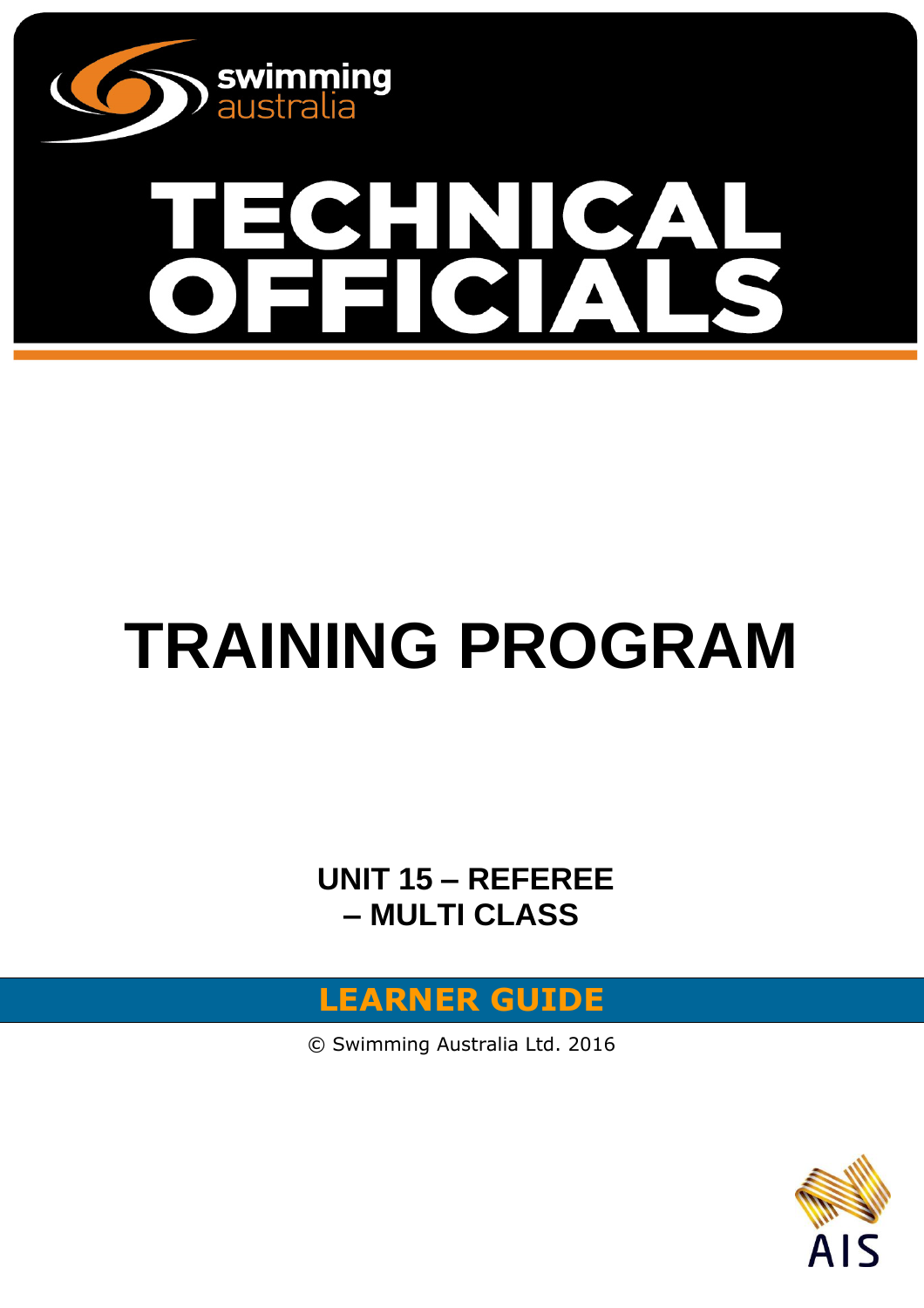

# $\boldsymbol{\Lambda}$ 9 E

## **TRAINING PROGRAM**

**UNIT 15 – REFEREE – MULTI CLASS** 



© Swimming Australia Ltd. 2016

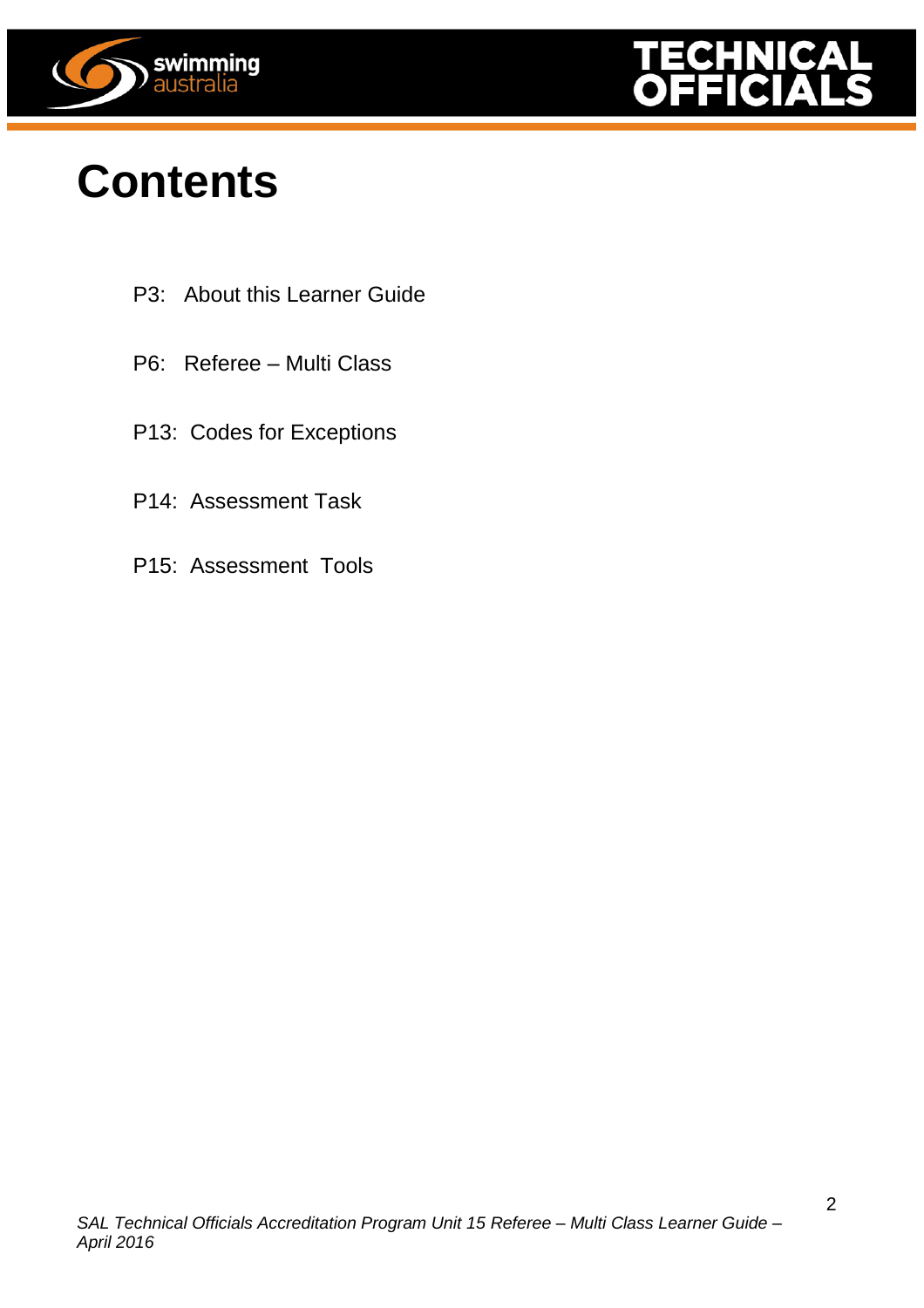



### **Contents**

- P3: About this Learner Guide
- P6: Referee Multi Class
- P13: Codes for Exceptions
- P14: Assessment Task
- P15: Assessment Tools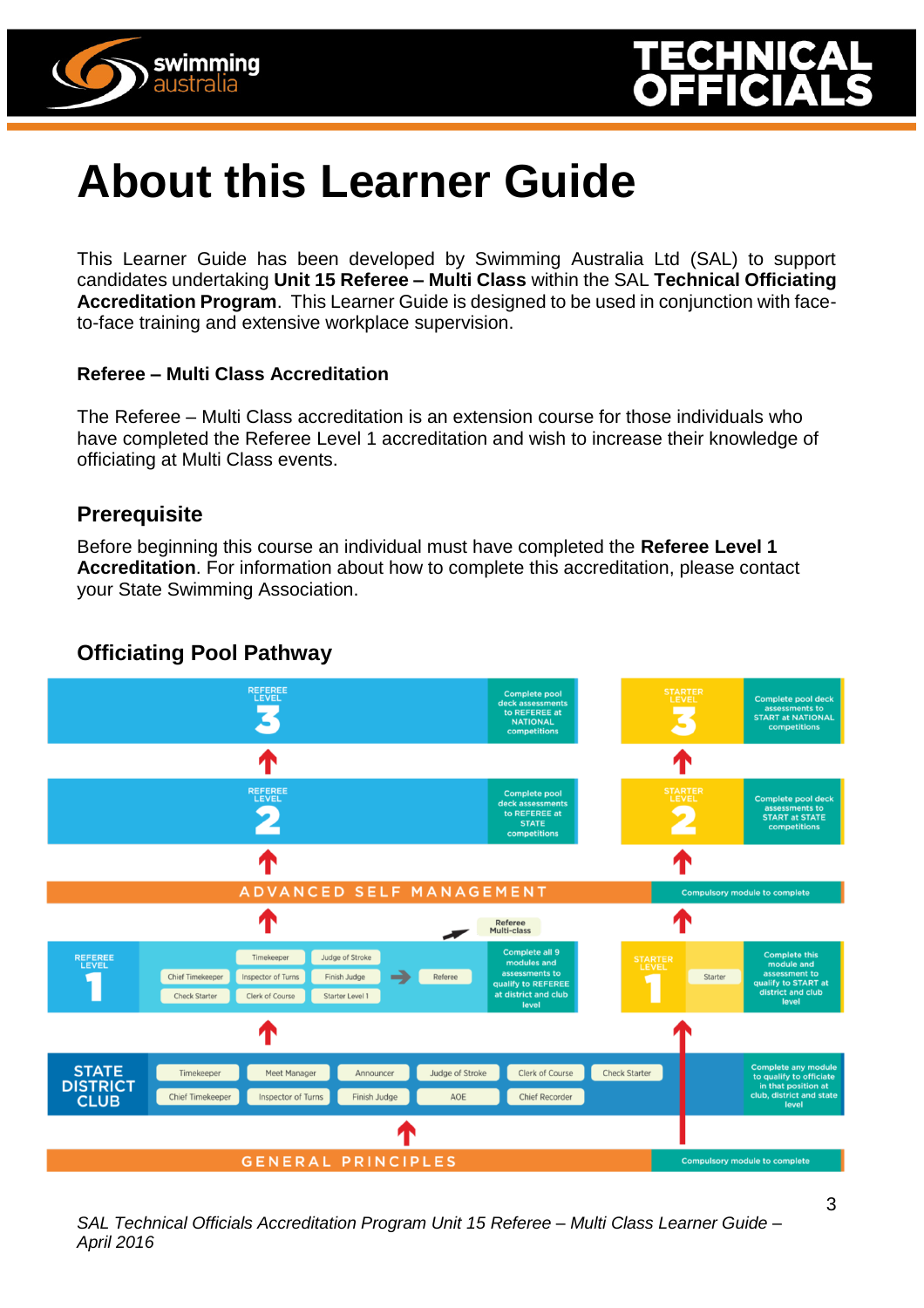



### **About this Learner Guide**

This Learner Guide has been developed by Swimming Australia Ltd (SAL) to support candidates undertaking **Unit 15 Referee – Multi Class** within the SAL **Technical Officiating Accreditation Program**. This Learner Guide is designed to be used in conjunction with faceto-face training and extensive workplace supervision.

#### **Referee – Multi Class Accreditation**

The Referee – Multi Class accreditation is an extension course for those individuals who have completed the Referee Level 1 accreditation and wish to increase their knowledge of officiating at Multi Class events.

#### **Prerequisite**

Before beginning this course an individual must have completed the **Referee Level 1 Accreditation**. For information about how to complete this accreditation, please contact your State Swimming Association.

#### **Officiating Pool Pathway**



*SAL Technical Officials Accreditation Program Unit 15 Referee – Multi Class Learner Guide – April 2016*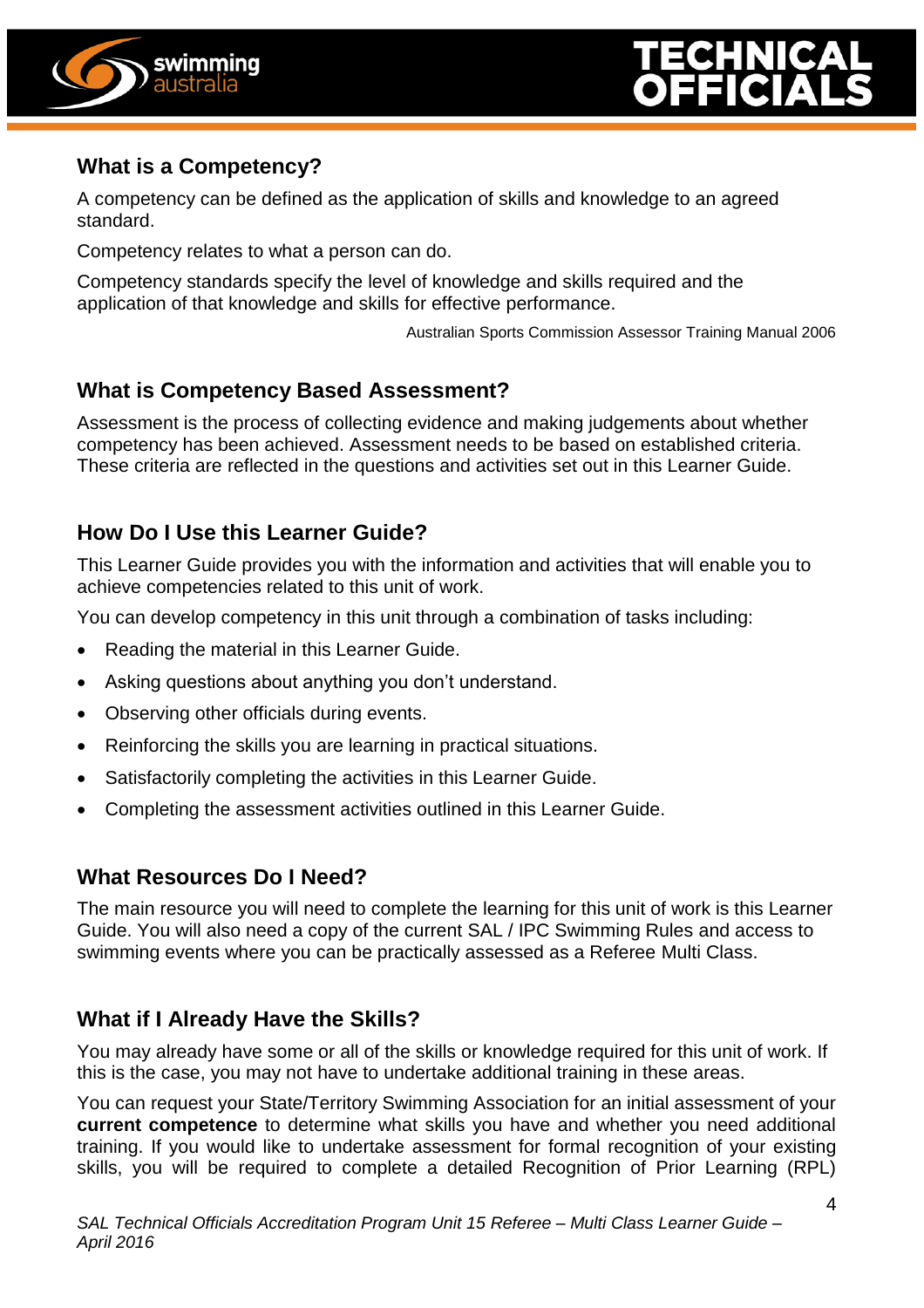



#### **What is a Competency?**

A competency can be defined as the application of skills and knowledge to an agreed standard.

Competency relates to what a person can do.

Competency standards specify the level of knowledge and skills required and the application of that knowledge and skills for effective performance.

Australian Sports Commission Assessor Training Manual 2006

#### **What is Competency Based Assessment?**

Assessment is the process of collecting evidence and making judgements about whether competency has been achieved. Assessment needs to be based on established criteria. These criteria are reflected in the questions and activities set out in this Learner Guide.

#### **How Do I Use this Learner Guide?**

This Learner Guide provides you with the information and activities that will enable you to achieve competencies related to this unit of work.

You can develop competency in this unit through a combination of tasks including:

- Reading the material in this Learner Guide.
- Asking questions about anything you don't understand.
- Observing other officials during events.
- Reinforcing the skills you are learning in practical situations.
- Satisfactorily completing the activities in this Learner Guide.
- Completing the assessment activities outlined in this Learner Guide.

#### **What Resources Do I Need?**

The main resource you will need to complete the learning for this unit of work is this Learner Guide. You will also need a copy of the current SAL / IPC Swimming Rules and access to swimming events where you can be practically assessed as a Referee Multi Class.

#### **What if I Already Have the Skills?**

You may already have some or all of the skills or knowledge required for this unit of work. If this is the case, you may not have to undertake additional training in these areas.

You can request your State/Territory Swimming Association for an initial assessment of your **current competence** to determine what skills you have and whether you need additional training. If you would like to undertake assessment for formal recognition of your existing skills, you will be required to complete a detailed Recognition of Prior Learning (RPL)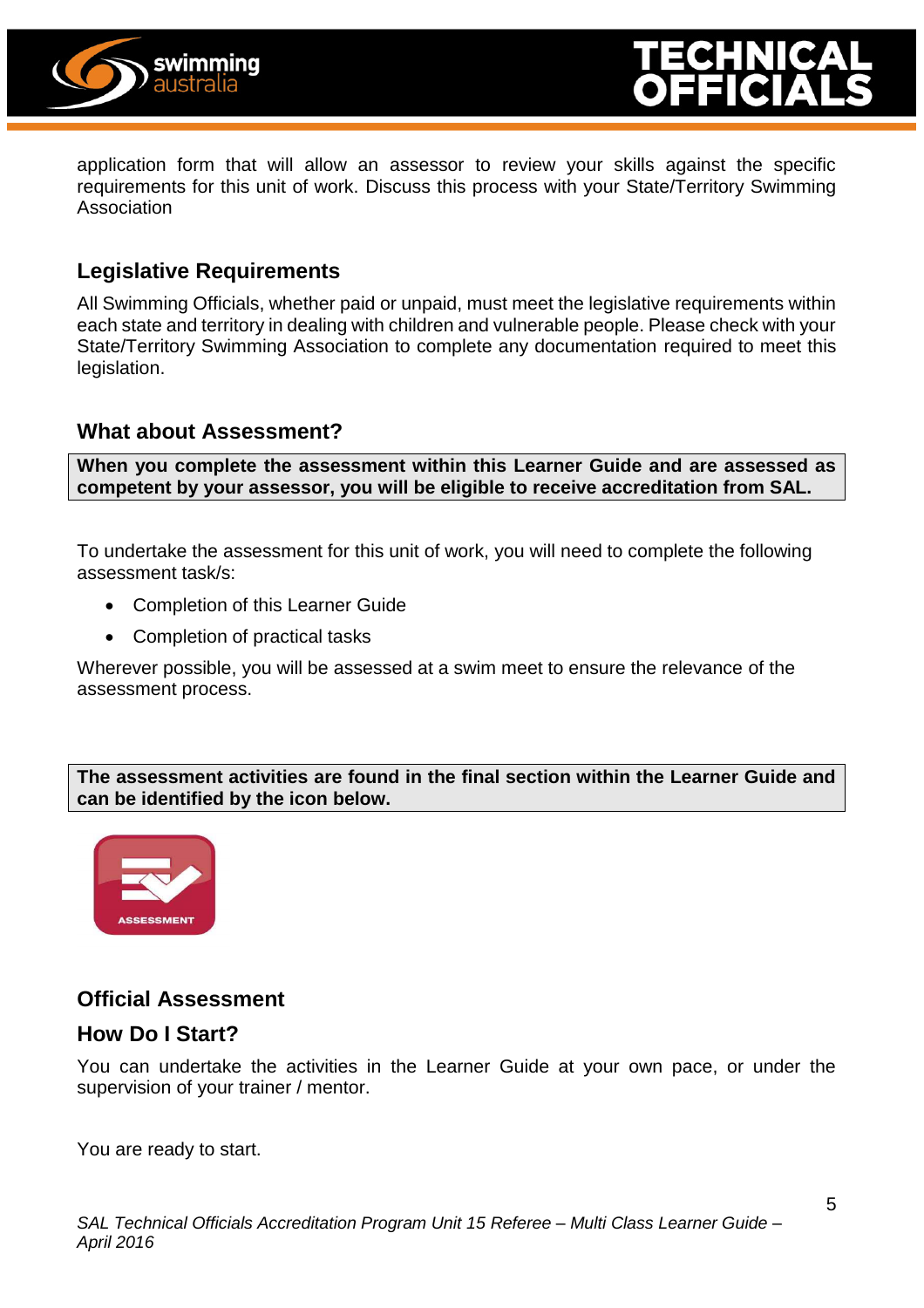



application form that will allow an assessor to review your skills against the specific requirements for this unit of work. Discuss this process with your State/Territory Swimming Association

#### **Legislative Requirements**

All Swimming Officials, whether paid or unpaid, must meet the legislative requirements within each state and territory in dealing with children and vulnerable people. Please check with your State/Territory Swimming Association to complete any documentation required to meet this legislation.

#### **What about Assessment?**

**When you complete the assessment within this Learner Guide and are assessed as competent by your assessor, you will be eligible to receive accreditation from SAL.**

To undertake the assessment for this unit of work, you will need to complete the following assessment task/s:

- Completion of this Learner Guide
- Completion of practical tasks

Wherever possible, you will be assessed at a swim meet to ensure the relevance of the assessment process.

#### **The assessment activities are found in the final section within the Learner Guide and can be identified by the icon below.**



#### **Official Assessment**

#### **How Do I Start?**

You can undertake the activities in the Learner Guide at your own pace, or under the supervision of your trainer / mentor.

You are ready to start.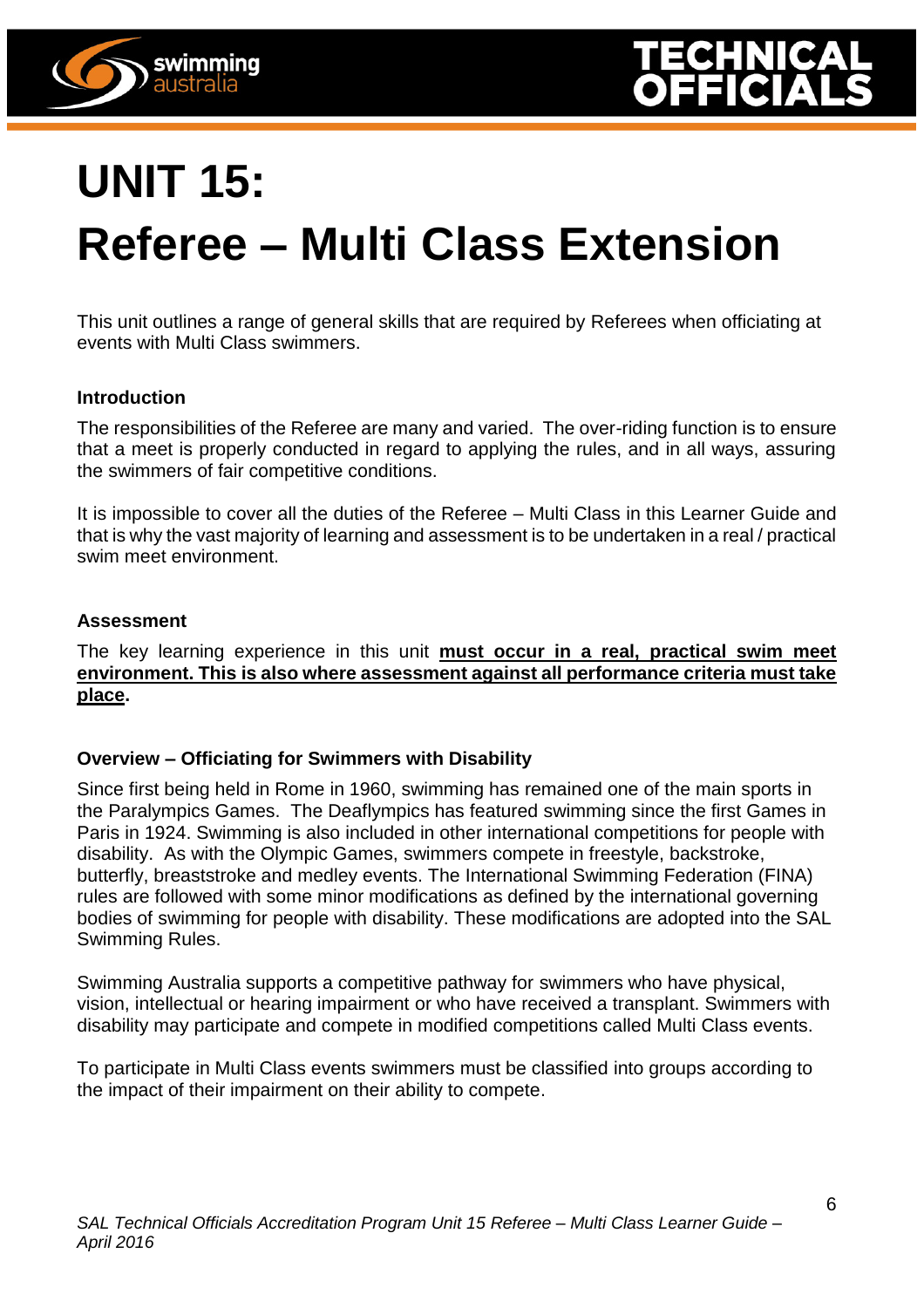

## **UNIT 15: Referee – Multi Class Extension**

This unit outlines a range of general skills that are required by Referees when officiating at events with Multi Class swimmers.

#### **Introduction**

swimming australia

The responsibilities of the Referee are many and varied. The over-riding function is to ensure that a meet is properly conducted in regard to applying the rules, and in all ways, assuring the swimmers of fair competitive conditions.

It is impossible to cover all the duties of the Referee – Multi Class in this Learner Guide and that is why the vast majority of learning and assessment is to be undertaken in a real / practical swim meet environment.

#### **Assessment**

The key learning experience in this unit **must occur in a real, practical swim meet environment. This is also where assessment against all performance criteria must take place.**

#### **Overview – Officiating for Swimmers with Disability**

Since first being held in Rome in 1960, swimming has remained one of the main sports in the Paralympics Games. The Deaflympics has featured swimming since the first Games in Paris in 1924. Swimming is also included in other international competitions for people with disability. As with the Olympic Games, swimmers compete in freestyle, backstroke, butterfly, breaststroke and medley events. The International Swimming Federation (FINA) rules are followed with some minor modifications as defined by the international governing bodies of swimming for people with disability. These modifications are adopted into the SAL Swimming Rules.

Swimming Australia supports a competitive pathway for swimmers who have physical, vision, intellectual or hearing impairment or who have received a transplant. Swimmers with disability may participate and compete in modified competitions called Multi Class events.

To participate in Multi Class events swimmers must be classified into groups according to the impact of their impairment on their ability to compete.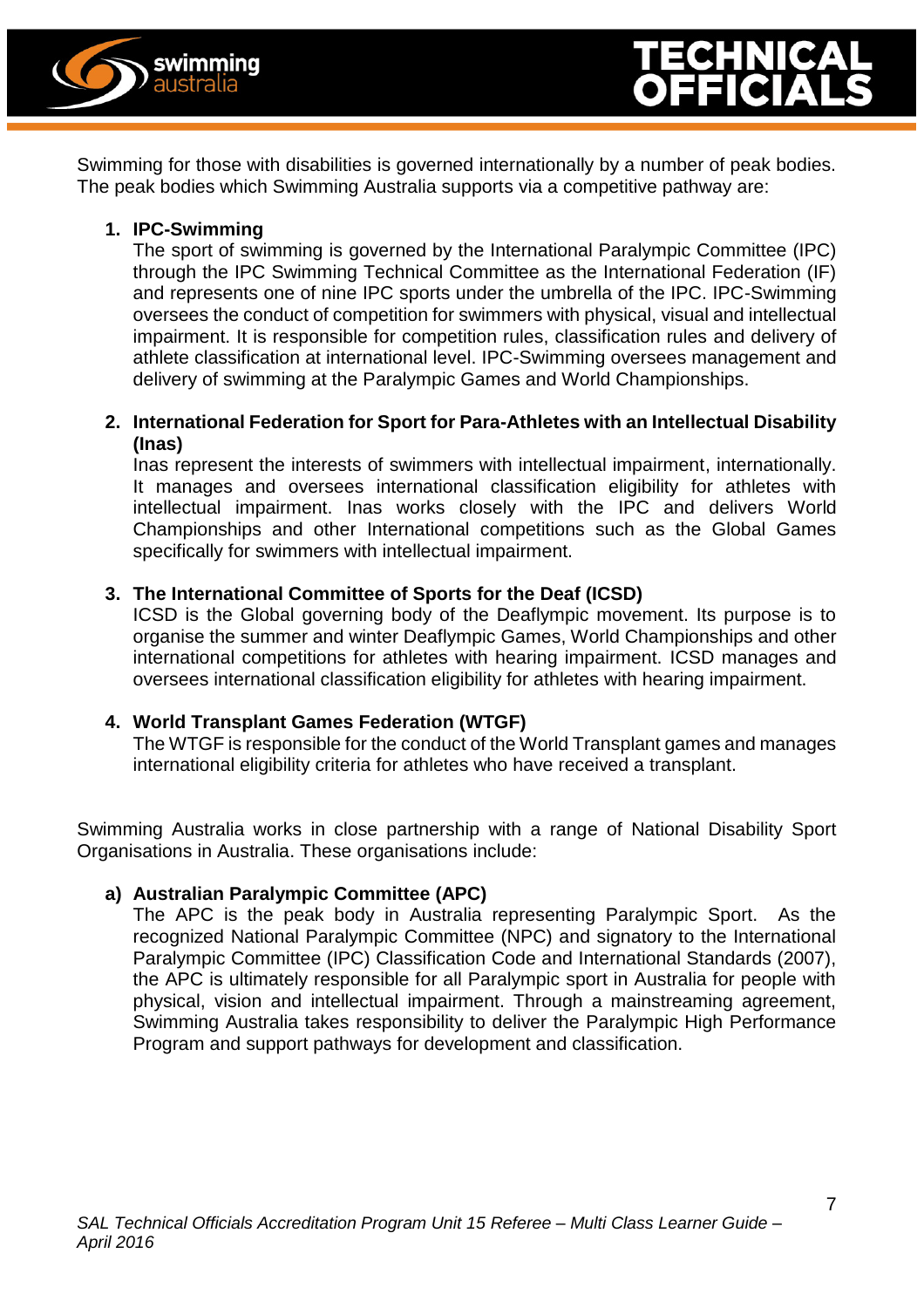



Swimming for those with disabilities is governed internationally by a number of peak bodies. The peak bodies which Swimming Australia supports via a competitive pathway are:

#### **1. IPC-Swimming**

The sport of swimming is governed by the International Paralympic Committee (IPC) through the IPC Swimming Technical Committee as the International Federation (IF) and represents one of nine IPC sports under the umbrella of the IPC. IPC-Swimming oversees the conduct of competition for swimmers with physical, visual and intellectual impairment. It is responsible for competition rules, classification rules and delivery of athlete classification at international level. IPC-Swimming oversees management and delivery of swimming at the Paralympic Games and World Championships.

#### **2. International Federation for Sport for Para-Athletes with an Intellectual Disability (Inas)**

Inas represent the interests of swimmers with intellectual impairment, internationally. It manages and oversees international classification eligibility for athletes with intellectual impairment. Inas works closely with the IPC and delivers World Championships and other International competitions such as the Global Games specifically for swimmers with intellectual impairment.

#### **3. The International Committee of Sports for the Deaf (ICSD)**

ICSD is the Global governing body of the Deaflympic movement. Its purpose is to organise the summer and winter Deaflympic Games, World Championships and other international competitions for athletes with hearing impairment. ICSD manages and oversees international classification eligibility for athletes with hearing impairment.

#### **4. World Transplant Games Federation (WTGF)**

The WTGF is responsible for the conduct of the World Transplant games and manages international eligibility criteria for athletes who have received a transplant.

Swimming Australia works in close partnership with a range of National Disability Sport Organisations in Australia. These organisations include:

#### **a) Australian Paralympic Committee (APC)**

The APC is the peak body in Australia representing Paralympic Sport. As the recognized National Paralympic Committee (NPC) and signatory to the International Paralympic Committee (IPC) Classification Code and International Standards (2007), the APC is ultimately responsible for all Paralympic sport in Australia for people with physical, vision and intellectual impairment. Through a mainstreaming agreement, Swimming Australia takes responsibility to deliver the Paralympic High Performance Program and support pathways for development and classification.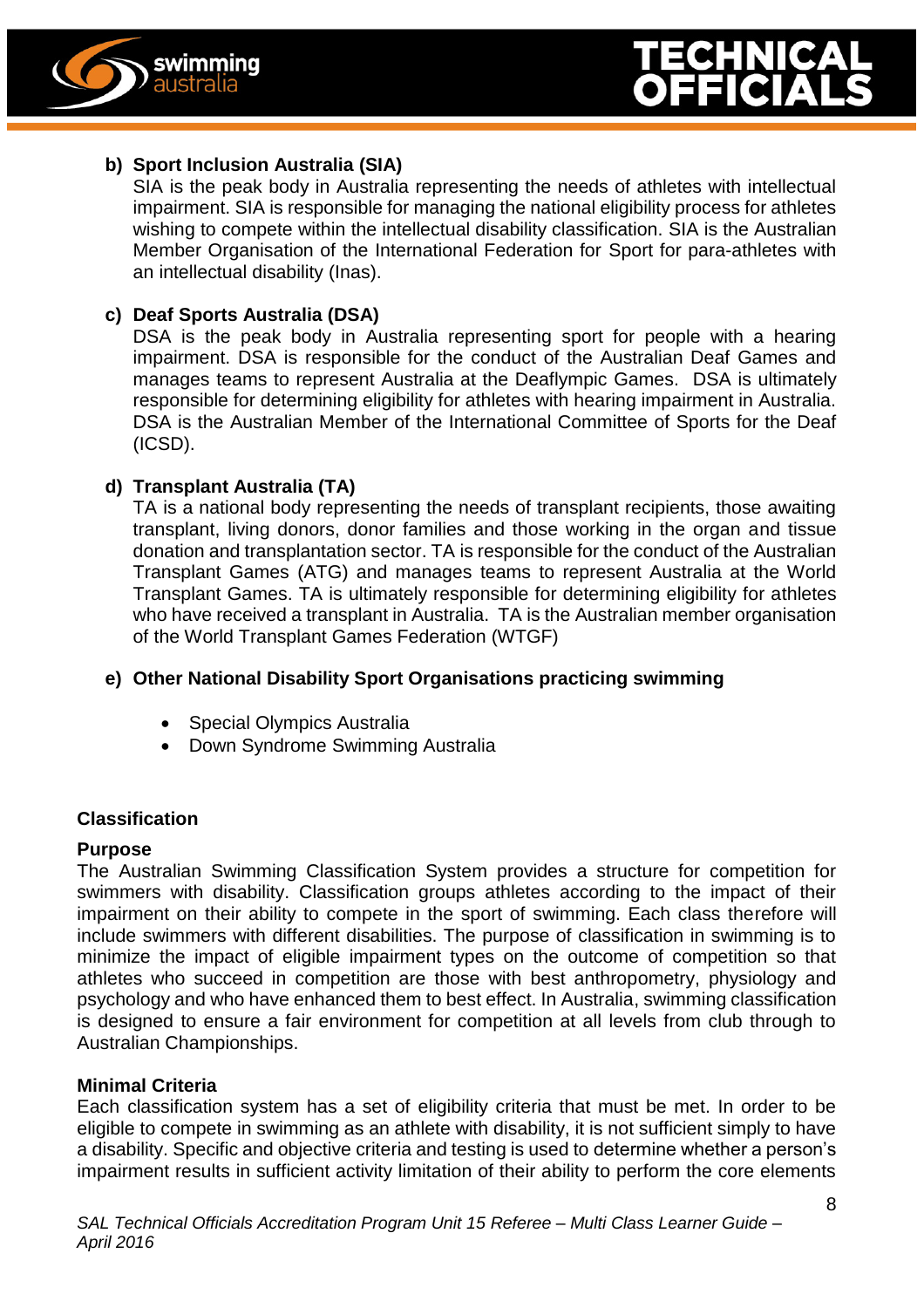

#### **b) Sport Inclusion Australia (SIA)**

SIA is the peak body in Australia representing the needs of athletes with intellectual impairment. SIA is responsible for managing the national eligibility process for athletes wishing to compete within the intellectual disability classification. SIA is the Australian Member Organisation of the International Federation for Sport for para-athletes with an intellectual disability (Inas).

#### **c) Deaf Sports Australia (DSA)**

DSA is the peak body in Australia representing sport for people with a hearing impairment. DSA is responsible for the conduct of the Australian Deaf Games and manages teams to represent Australia at the Deaflympic Games. DSA is ultimately responsible for determining eligibility for athletes with hearing impairment in Australia. DSA is the Australian Member of the International Committee of Sports for the Deaf (ICSD).

#### **d) Transplant Australia (TA)**

TA is a national body representing the needs of transplant recipients, those awaiting transplant, living donors, donor families and those working in the organ and tissue donation and transplantation sector. TA is responsible for the conduct of the Australian Transplant Games (ATG) and manages teams to represent Australia at the World Transplant Games. TA is ultimately responsible for determining eligibility for athletes who have received a transplant in Australia. TA is the Australian member organisation of the World Transplant Games Federation (WTGF)

#### **e) Other National Disability Sport Organisations practicing swimming**

- Special Olympics Australia
- Down Syndrome Swimming Australia

#### **Classification**

#### **Purpose**

The Australian Swimming Classification System provides a structure for competition for swimmers with disability. Classification groups athletes according to the impact of their impairment on their ability to compete in the sport of swimming. Each class therefore will include swimmers with different disabilities. The purpose of classification in swimming is to minimize the impact of eligible impairment types on the outcome of competition so that athletes who succeed in competition are those with best anthropometry, physiology and psychology and who have enhanced them to best effect. In Australia, swimming classification is designed to ensure a fair environment for competition at all levels from club through to Australian Championships.

#### **Minimal Criteria**

Each classification system has a set of eligibility criteria that must be met. In order to be eligible to compete in swimming as an athlete with disability, it is not sufficient simply to have a disability. Specific and objective criteria and testing is used to determine whether a person's impairment results in sufficient activity limitation of their ability to perform the core elements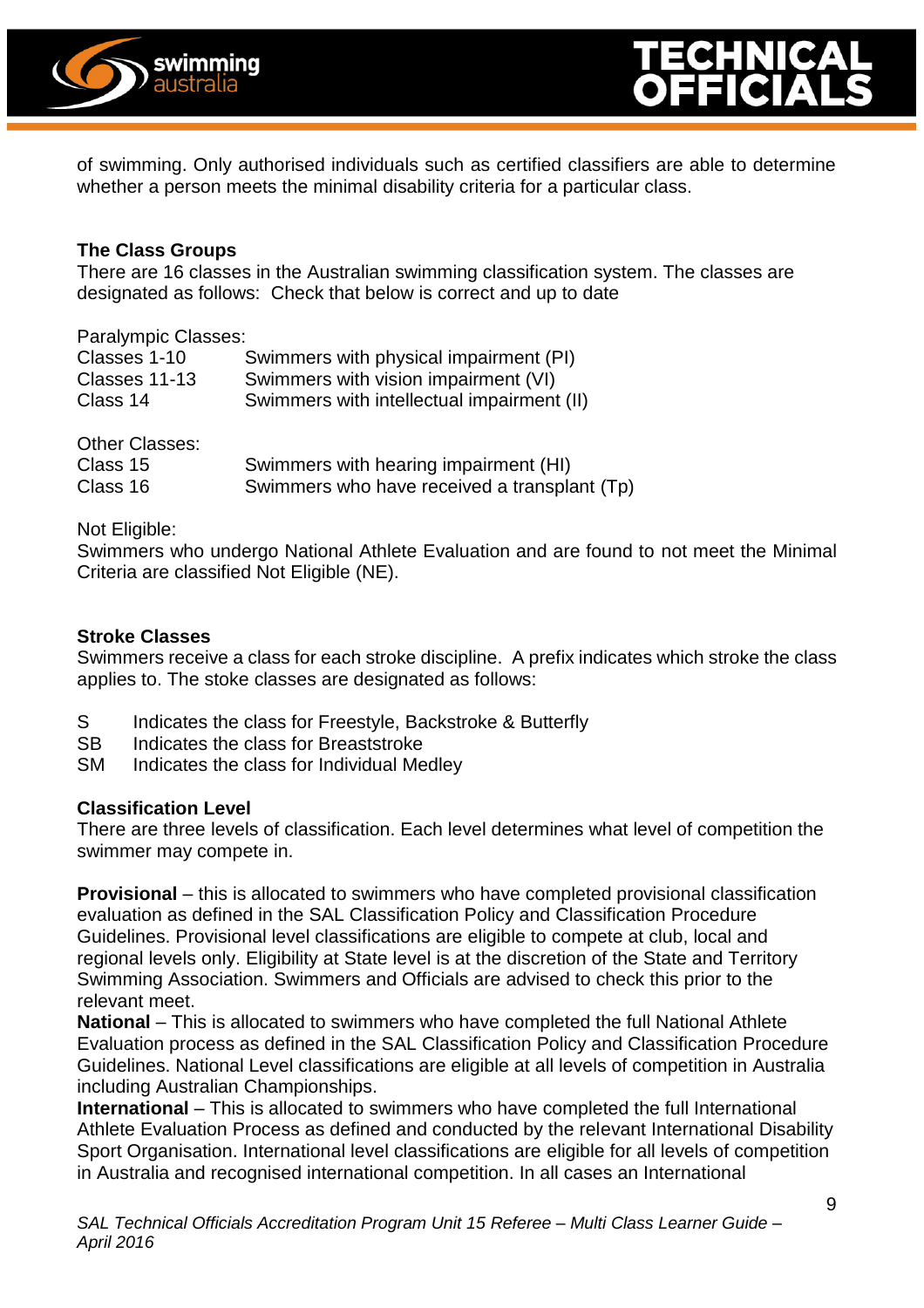



of swimming. Only authorised individuals such as certified classifiers are able to determine whether a person meets the minimal disability criteria for a particular class.

#### **The Class Groups**

There are 16 classes in the Australian swimming classification system. The classes are designated as follows: Check that below is correct and up to date

Paralympic Classes:

| Classes 1-10  | Swimmers with physical impairment (PI)     |
|---------------|--------------------------------------------|
| Classes 11-13 | Swimmers with vision impairment (VI)       |
| Class 14      | Swimmers with intellectual impairment (II) |
|               |                                            |

| Other Classes: |                                              |
|----------------|----------------------------------------------|
| Class 15       | Swimmers with hearing impairment (HI)        |
| Class 16       | Swimmers who have received a transplant (Tp) |

Not Eligible:

Swimmers who undergo National Athlete Evaluation and are found to not meet the Minimal Criteria are classified Not Eligible (NE).

#### **Stroke Classes**

Swimmers receive a class for each stroke discipline. A prefix indicates which stroke the class applies to. The stoke classes are designated as follows:

- S Indicates the class for Freestyle, Backstroke & Butterfly<br>SB Indicates the class for Breaststroke
- Indicates the class for Breaststroke
- SM Indicates the class for Individual Medley

#### **Classification Level**

There are three levels of classification. Each level determines what level of competition the swimmer may compete in.

**Provisional** – this is allocated to swimmers who have completed provisional classification evaluation as defined in the SAL Classification Policy and Classification Procedure Guidelines. Provisional level classifications are eligible to compete at club, local and regional levels only. Eligibility at State level is at the discretion of the State and Territory Swimming Association. Swimmers and Officials are advised to check this prior to the relevant meet.

**National** – This is allocated to swimmers who have completed the full National Athlete Evaluation process as defined in the SAL Classification Policy and Classification Procedure Guidelines. National Level classifications are eligible at all levels of competition in Australia including Australian Championships.

**International** – This is allocated to swimmers who have completed the full International Athlete Evaluation Process as defined and conducted by the relevant International Disability Sport Organisation. International level classifications are eligible for all levels of competition in Australia and recognised international competition. In all cases an International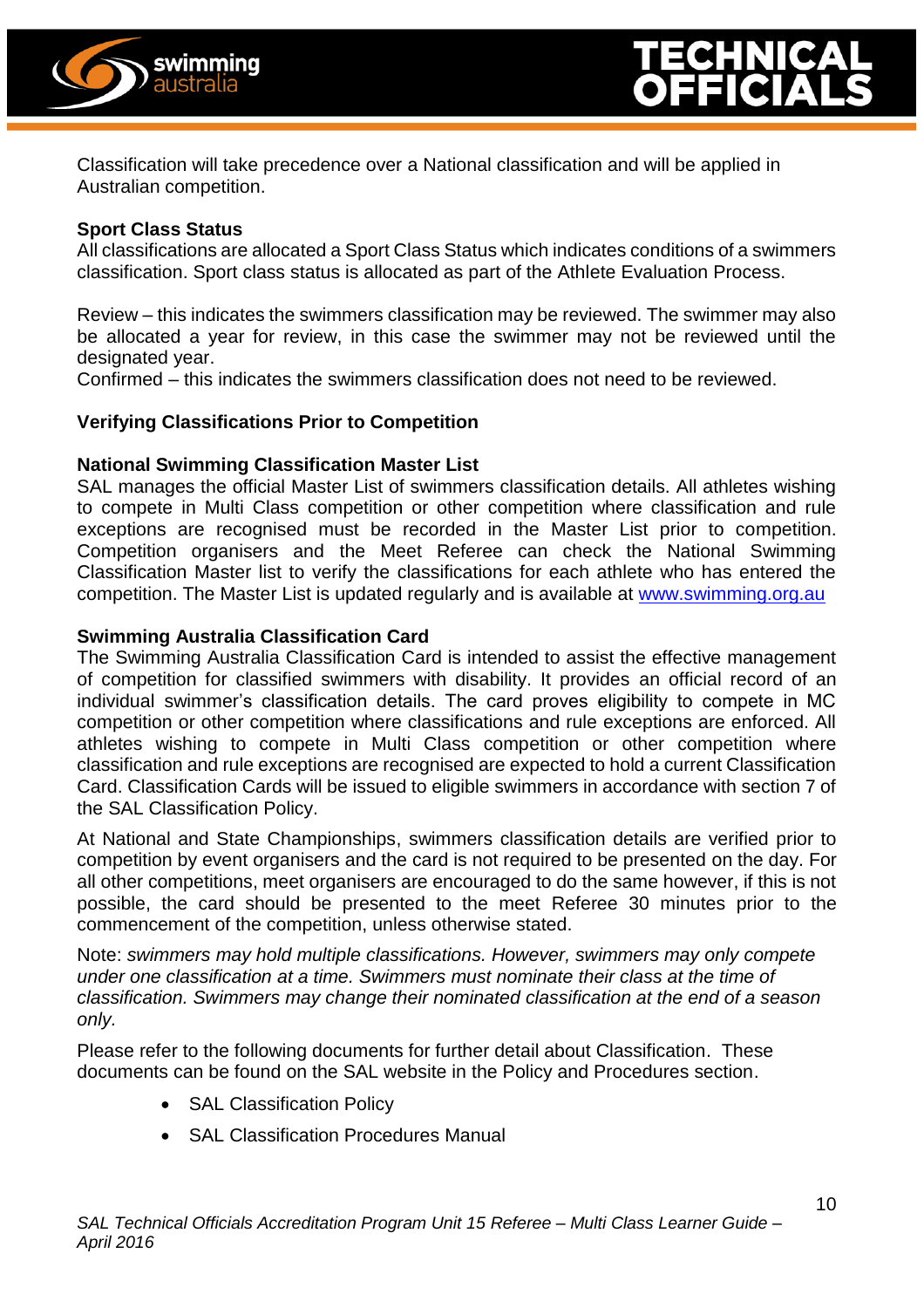

Classification will take precedence over a National classification and will be applied in Australian competition.

#### **Sport Class Status**

All classifications are allocated a Sport Class Status which indicates conditions of a swimmers classification. Sport class status is allocated as part of the Athlete Evaluation Process.

Review – this indicates the swimmers classification may be reviewed. The swimmer may also be allocated a year for review, in this case the swimmer may not be reviewed until the designated year.

Confirmed – this indicates the swimmers classification does not need to be reviewed.

#### **Verifying Classifications Prior to Competition**

#### **National Swimming Classification Master List**

SAL manages the official Master List of swimmers classification details. All athletes wishing to compete in Multi Class competition or other competition where classification and rule exceptions are recognised must be recorded in the Master List prior to competition. Competition organisers and the Meet Referee can check the National Swimming Classification Master list to verify the classifications for each athlete who has entered the competition. The Master List is updated regularly and is available at [www.swimming.org.au](http://www.swimming.org.au/)

#### **Swimming Australia Classification Card**

The Swimming Australia Classification Card is intended to assist the effective management of competition for classified swimmers with disability. It provides an official record of an individual swimmer's classification details. The card proves eligibility to compete in MC competition or other competition where classifications and rule exceptions are enforced. All athletes wishing to compete in Multi Class competition or other competition where classification and rule exceptions are recognised are expected to hold a current Classification Card. Classification Cards will be issued to eligible swimmers in accordance with section 7 of the SAL Classification Policy.

At National and State Championships, swimmers classification details are verified prior to competition by event organisers and the card is not required to be presented on the day. For all other competitions, meet organisers are encouraged to do the same however, if this is not possible, the card should be presented to the meet Referee 30 minutes prior to the commencement of the competition, unless otherwise stated.

Note: *swimmers may hold multiple classifications. However, swimmers may only compete under one classification at a time. Swimmers must nominate their class at the time of classification. Swimmers may change their nominated classification at the end of a season only.*

Please refer to the following documents for further detail about Classification. These documents can be found on the SAL website in the Policy and Procedures section.

- SAL Classification Policy
- SAL Classification Procedures Manual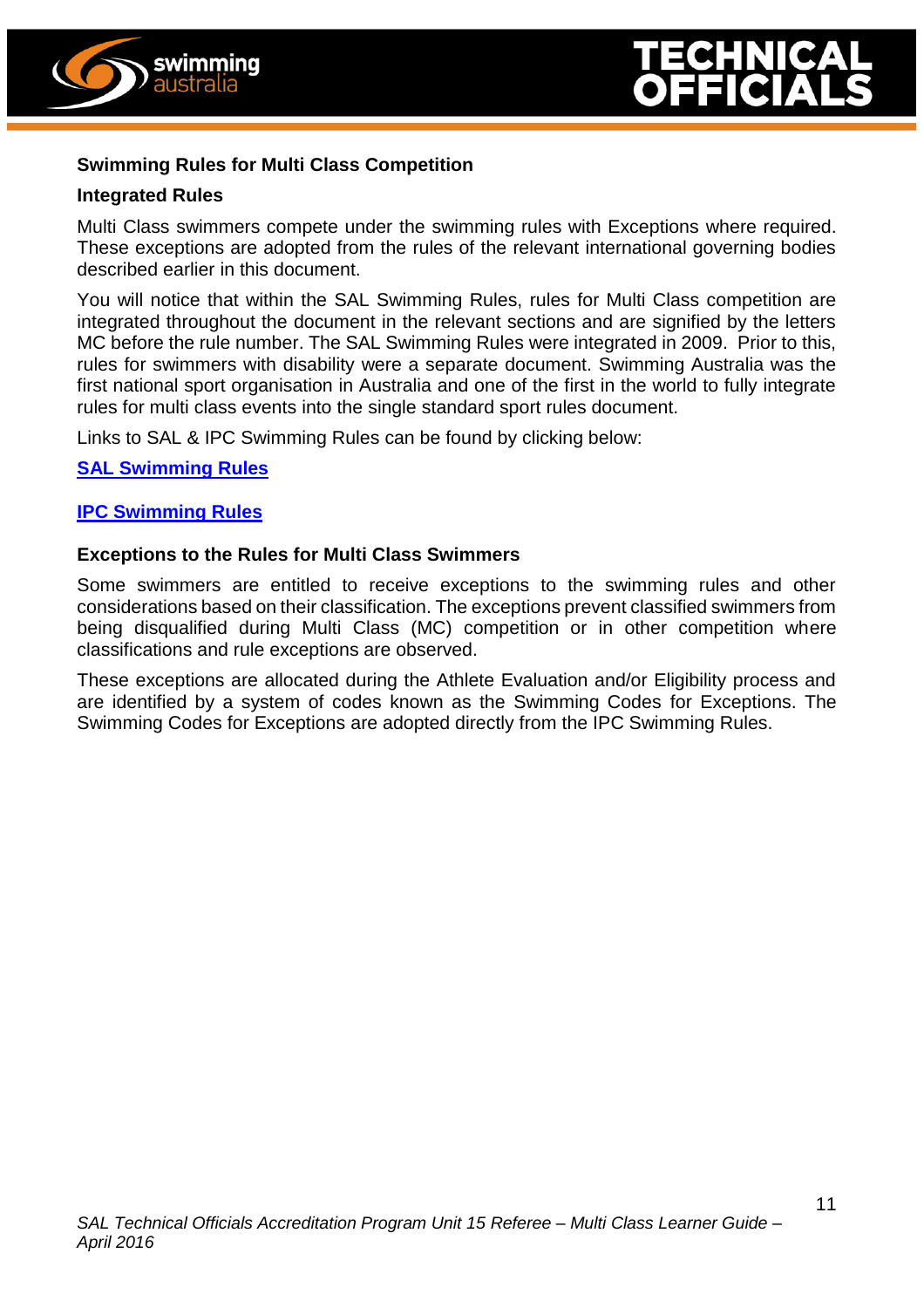



#### **Swimming Rules for Multi Class Competition**

#### **Integrated Rules**

Multi Class swimmers compete under the swimming rules with Exceptions where required. These exceptions are adopted from the rules of the relevant international governing bodies described earlier in this document.

You will notice that within the SAL Swimming Rules, rules for Multi Class competition are integrated throughout the document in the relevant sections and are signified by the letters MC before the rule number. The SAL Swimming Rules were integrated in 2009. Prior to this, rules for swimmers with disability were a separate document. Swimming Australia was the first national sport organisation in Australia and one of the first in the world to fully integrate rules for multi class events into the single standard sport rules document.

Links to SAL & IPC Swimming Rules can be found by clicking below:

#### **[SAL Swimming Rules](http://www.swimming.org.au/getattachment/97ba70b2-e137-4860-b54d-25818423cf6d/SAL-Swimming-Rules-JAN-2014-updated-05-02-15.pdf.aspx?chset=7dee52e1-598a-491d-ac3c-f3d5867be197&disposition=attachment)**

#### **[IPC Swimming Rules](http://www.paralympic.org/swimming/rules-and-regulations)**

#### **Exceptions to the Rules for Multi Class Swimmers**

Some swimmers are entitled to receive exceptions to the swimming rules and other considerations based on their classification. The exceptions prevent classified swimmers from being disqualified during Multi Class (MC) competition or in other competition where classifications and rule exceptions are observed.

These exceptions are allocated during the Athlete Evaluation and/or Eligibility process and are identified by a system of codes known as the Swimming Codes for Exceptions. The Swimming Codes for Exceptions are adopted directly from the IPC Swimming Rules.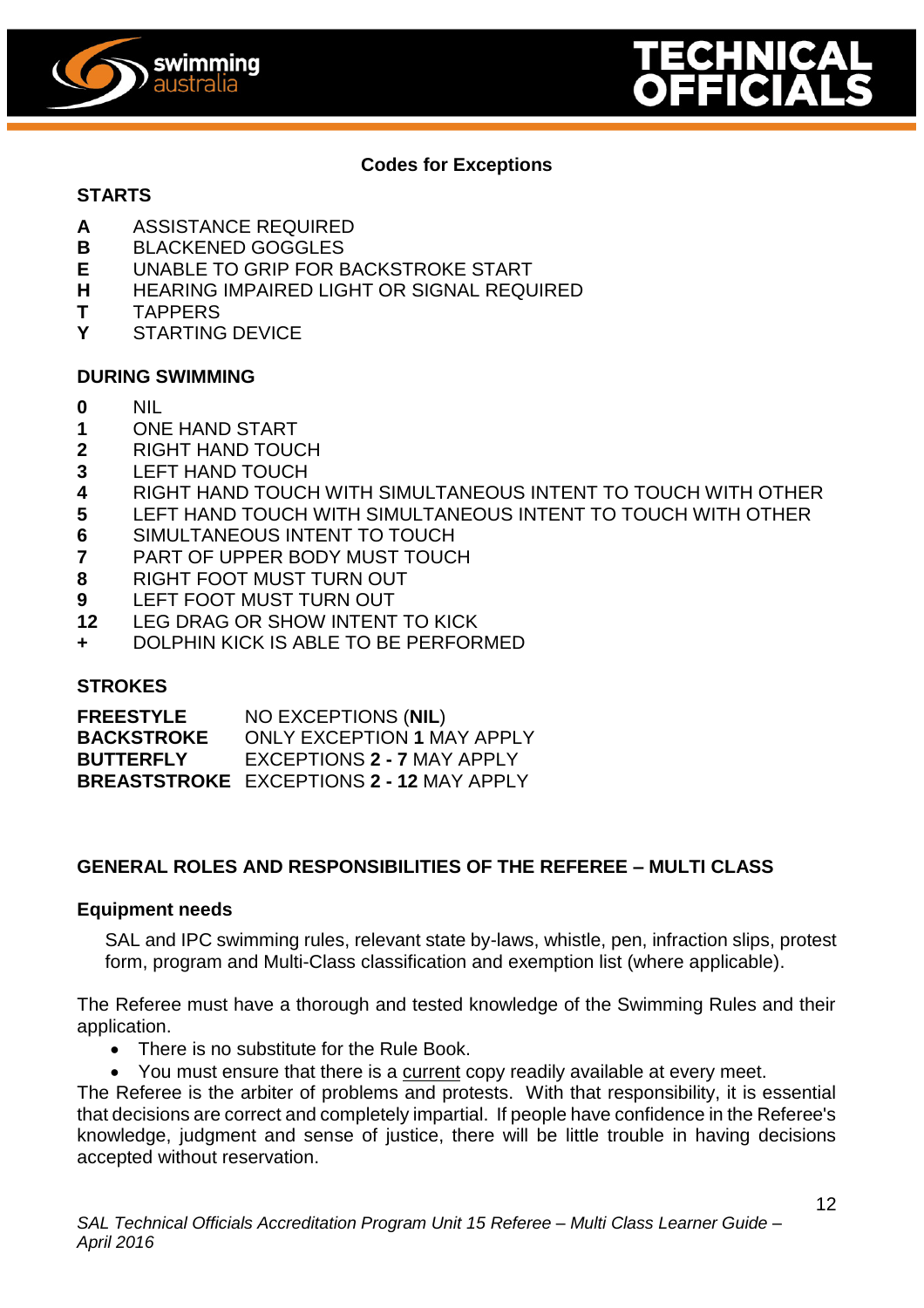



#### **Codes for Exceptions**

#### **STARTS**

- **A** ASSISTANCE REQUIRED
- **B** BLACKENED GOGGLES<br>**E** UNABLE TO GRIP FOR B
- **E** UNABLE TO GRIP FOR BACKSTROKE START
- **H** HEARING IMPAIRED LIGHT OR SIGNAL REQUIRED
- **T** TAPPERS
- **Y** STARTING DEVICE

#### **DURING SWIMMING**

- **0** NIL
- **1** ONE HAND START
- **2** RIGHT HAND TOUCH
- **3** LEFT HAND TOUCH
- **4** RIGHT HAND TOUCH WITH SIMULTANEOUS INTENT TO TOUCH WITH OTHER
- **5** LEFT HAND TOUCH WITH SIMULTANEOUS INTENT TO TOUCH WITH OTHER
- **6** SIMULTANEOUS INTENT TO TOUCH
- **7** PART OF UPPER BODY MUST TOUCH
- **8** RIGHT FOOT MUST TURN OUT
- **9** LEFT FOOT MUST TURN OUT
- **12** LEG DRAG OR SHOW INTENT TO KICK
- **+** DOLPHIN KICK IS ABLE TO BE PERFORMED

#### **STROKES**

| <b>FREESTYLE</b>  | NO EXCEPTIONS (NIL)                             |
|-------------------|-------------------------------------------------|
| <b>BACKSTROKE</b> | <b>ONLY EXCEPTION 1 MAY APPLY</b>               |
| <b>BUTTERFLY</b>  | EXCEPTIONS 2 - 7 MAY APPLY                      |
|                   | <b>BREASTSTROKE EXCEPTIONS 2 - 12 MAY APPLY</b> |

#### **GENERAL ROLES AND RESPONSIBILITIES OF THE REFEREE – MULTI CLASS**

#### **Equipment needs**

SAL and IPC swimming rules, relevant state by-laws, whistle, pen, infraction slips, protest form, program and Multi-Class classification and exemption list (where applicable).

The Referee must have a thorough and tested knowledge of the Swimming Rules and their application.

- There is no substitute for the Rule Book.
- You must ensure that there is a current copy readily available at every meet.

The Referee is the arbiter of problems and protests. With that responsibility, it is essential that decisions are correct and completely impartial. If people have confidence in the Referee's knowledge, judgment and sense of justice, there will be little trouble in having decisions accepted without reservation.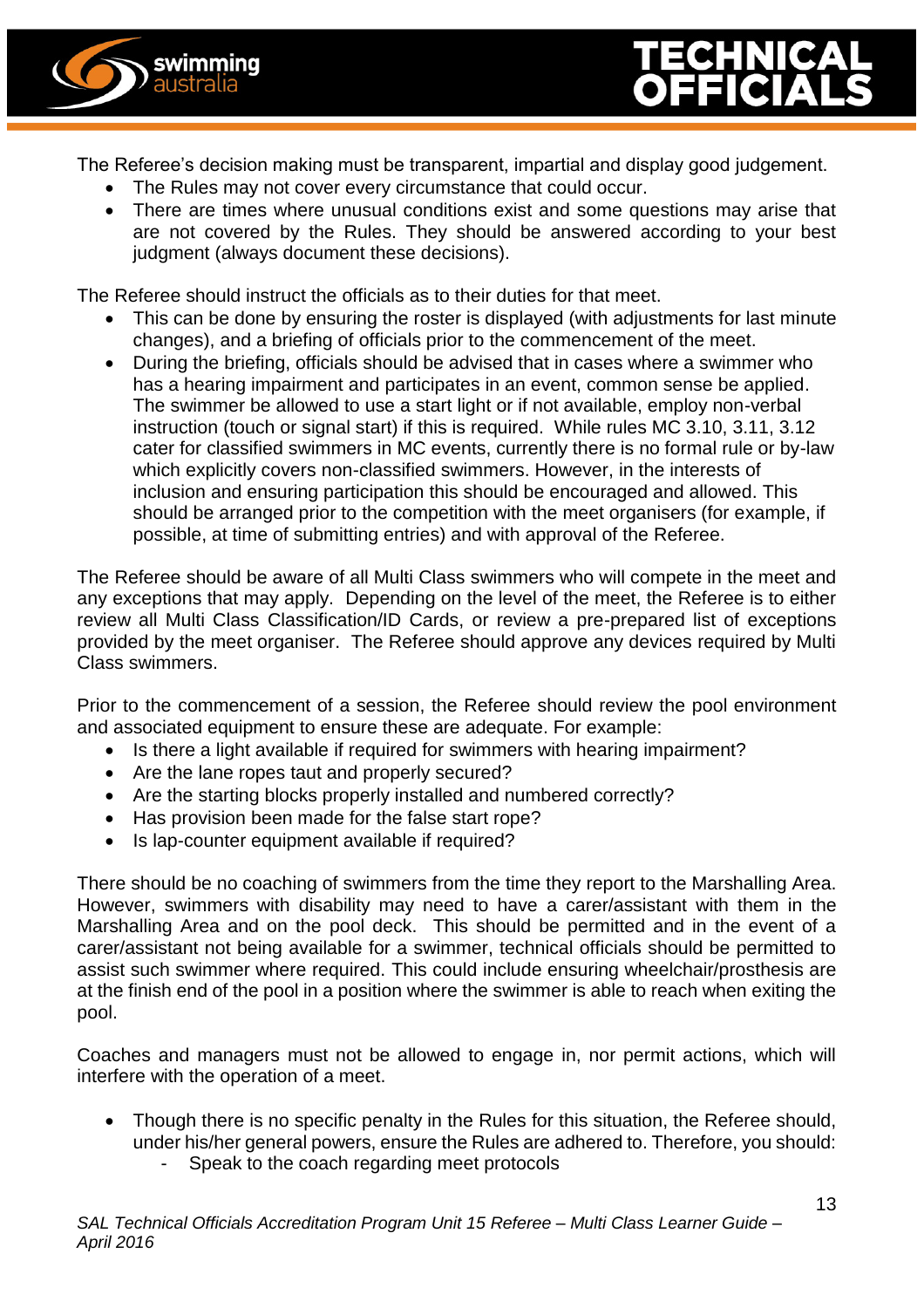



The Referee's decision making must be transparent, impartial and display good judgement.

- The Rules may not cover every circumstance that could occur.
- There are times where unusual conditions exist and some questions may arise that are not covered by the Rules. They should be answered according to your best judgment (always document these decisions).

The Referee should instruct the officials as to their duties for that meet.

- This can be done by ensuring the roster is displayed (with adjustments for last minute changes), and a briefing of officials prior to the commencement of the meet.
- During the briefing, officials should be advised that in cases where a swimmer who has a hearing impairment and participates in an event, common sense be applied. The swimmer be allowed to use a start light or if not available, employ non-verbal instruction (touch or signal start) if this is required. While rules MC 3.10, 3.11, 3.12 cater for classified swimmers in MC events, currently there is no formal rule or by-law which explicitly covers non-classified swimmers. However, in the interests of inclusion and ensuring participation this should be encouraged and allowed. This should be arranged prior to the competition with the meet organisers (for example, if possible, at time of submitting entries) and with approval of the Referee.

The Referee should be aware of all Multi Class swimmers who will compete in the meet and any exceptions that may apply. Depending on the level of the meet, the Referee is to either review all Multi Class Classification/ID Cards, or review a pre-prepared list of exceptions provided by the meet organiser. The Referee should approve any devices required by Multi Class swimmers.

Prior to the commencement of a session, the Referee should review the pool environment and associated equipment to ensure these are adequate. For example:

- Is there a light available if required for swimmers with hearing impairment?
- Are the lane ropes taut and properly secured?
- Are the starting blocks properly installed and numbered correctly?
- Has provision been made for the false start rope?
- Is lap-counter equipment available if required?

There should be no coaching of swimmers from the time they report to the Marshalling Area. However, swimmers with disability may need to have a carer/assistant with them in the Marshalling Area and on the pool deck. This should be permitted and in the event of a carer/assistant not being available for a swimmer, technical officials should be permitted to assist such swimmer where required. This could include ensuring wheelchair/prosthesis are at the finish end of the pool in a position where the swimmer is able to reach when exiting the pool.

Coaches and managers must not be allowed to engage in, nor permit actions, which will interfere with the operation of a meet.

- Though there is no specific penalty in the Rules for this situation, the Referee should, under his/her general powers, ensure the Rules are adhered to. Therefore, you should:
	- Speak to the coach regarding meet protocols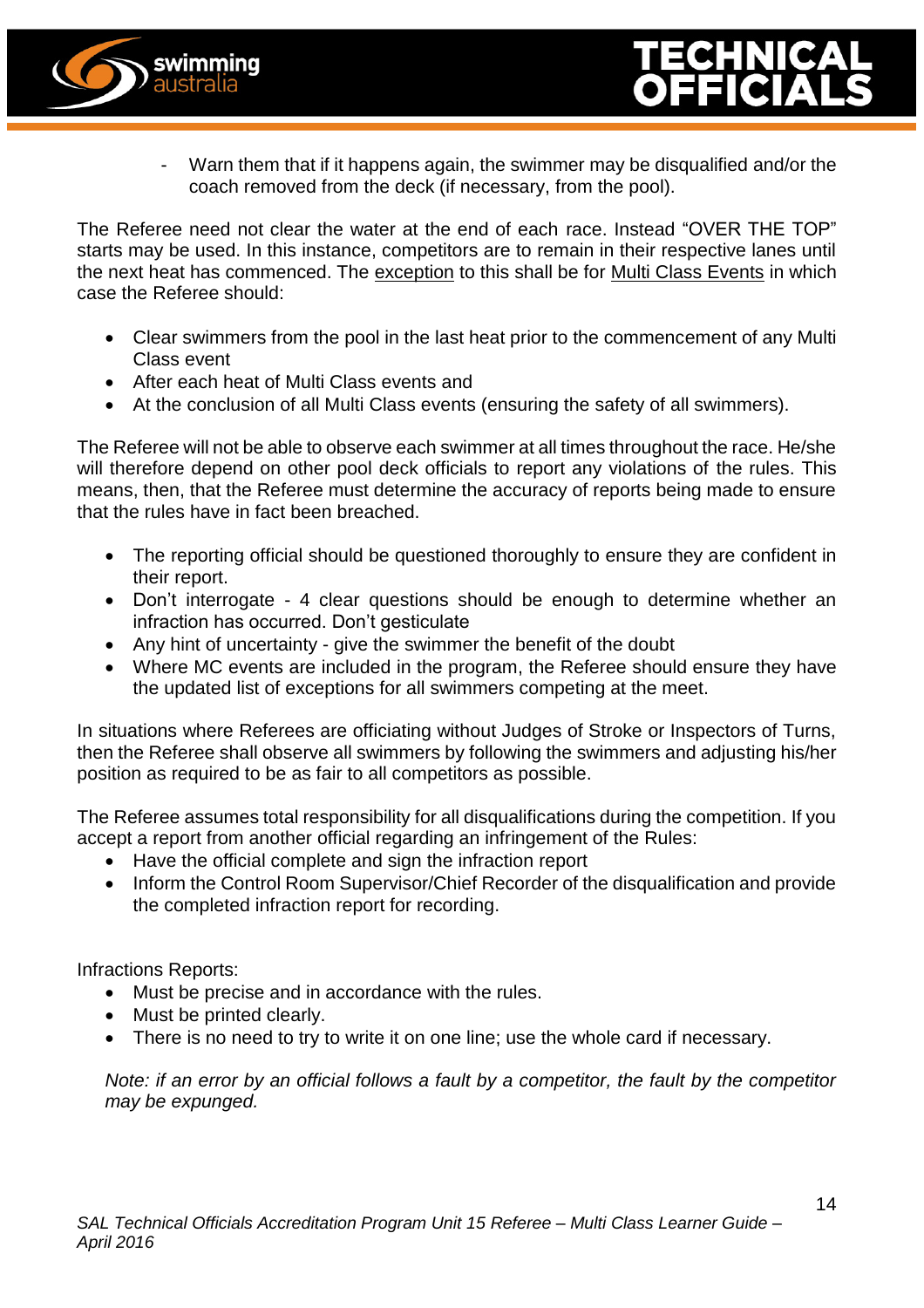



Warn them that if it happens again, the swimmer may be disqualified and/or the coach removed from the deck (if necessary, from the pool).

The Referee need not clear the water at the end of each race. Instead "OVER THE TOP" starts may be used. In this instance, competitors are to remain in their respective lanes until the next heat has commenced. The exception to this shall be for Multi Class Events in which case the Referee should:

- Clear swimmers from the pool in the last heat prior to the commencement of any Multi Class event
- After each heat of Multi Class events and
- At the conclusion of all Multi Class events (ensuring the safety of all swimmers).

The Referee will not be able to observe each swimmer at all times throughout the race. He/she will therefore depend on other pool deck officials to report any violations of the rules. This means, then, that the Referee must determine the accuracy of reports being made to ensure that the rules have in fact been breached.

- The reporting official should be questioned thoroughly to ensure they are confident in their report.
- Don't interrogate 4 clear questions should be enough to determine whether an infraction has occurred. Don't gesticulate
- Any hint of uncertainty give the swimmer the benefit of the doubt
- Where MC events are included in the program, the Referee should ensure they have the updated list of exceptions for all swimmers competing at the meet.

In situations where Referees are officiating without Judges of Stroke or Inspectors of Turns, then the Referee shall observe all swimmers by following the swimmers and adjusting his/her position as required to be as fair to all competitors as possible.

The Referee assumes total responsibility for all disqualifications during the competition. If you accept a report from another official regarding an infringement of the Rules:

- Have the official complete and sign the infraction report
- Inform the Control Room Supervisor/Chief Recorder of the disqualification and provide the completed infraction report for recording.

Infractions Reports:

- Must be precise and in accordance with the rules.
- Must be printed clearly.
- There is no need to try to write it on one line; use the whole card if necessary.

*Note: if an error by an official follows a fault by a competitor, the fault by the competitor may be expunged.*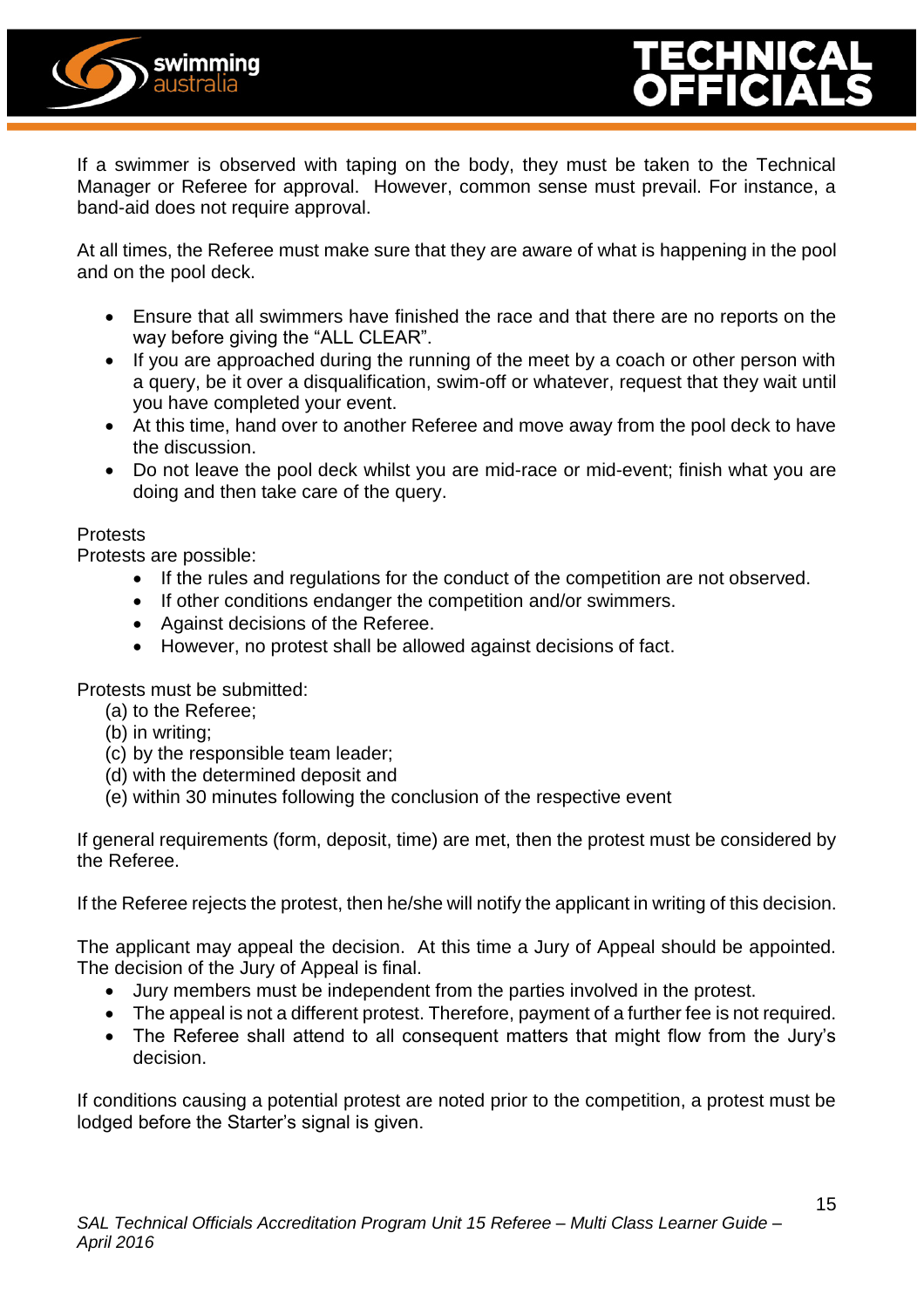



If a swimmer is observed with taping on the body, they must be taken to the Technical Manager or Referee for approval. However, common sense must prevail. For instance, a band-aid does not require approval.

At all times, the Referee must make sure that they are aware of what is happening in the pool and on the pool deck.

- Ensure that all swimmers have finished the race and that there are no reports on the way before giving the "ALL CLEAR".
- If you are approached during the running of the meet by a coach or other person with a query, be it over a disqualification, swim-off or whatever, request that they wait until you have completed your event.
- At this time, hand over to another Referee and move away from the pool deck to have the discussion.
- Do not leave the pool deck whilst you are mid-race or mid-event; finish what you are doing and then take care of the query.

#### Protests

Protests are possible:

- If the rules and regulations for the conduct of the competition are not observed.
- If other conditions endanger the competition and/or swimmers.
- Against decisions of the Referee.
- However, no protest shall be allowed against decisions of fact.

Protests must be submitted:

- (a) to the Referee;
- (b) in writing;
- (c) by the responsible team leader;
- (d) with the determined deposit and
- (e) within 30 minutes following the conclusion of the respective event

If general requirements (form, deposit, time) are met, then the protest must be considered by the Referee.

If the Referee rejects the protest, then he/she will notify the applicant in writing of this decision.

The applicant may appeal the decision. At this time a Jury of Appeal should be appointed. The decision of the Jury of Appeal is final.

- Jury members must be independent from the parties involved in the protest.
- The appeal is not a different protest. Therefore, payment of a further fee is not required.
- The Referee shall attend to all consequent matters that might flow from the Jury's decision.

If conditions causing a potential protest are noted prior to the competition, a protest must be lodged before the Starter's signal is given.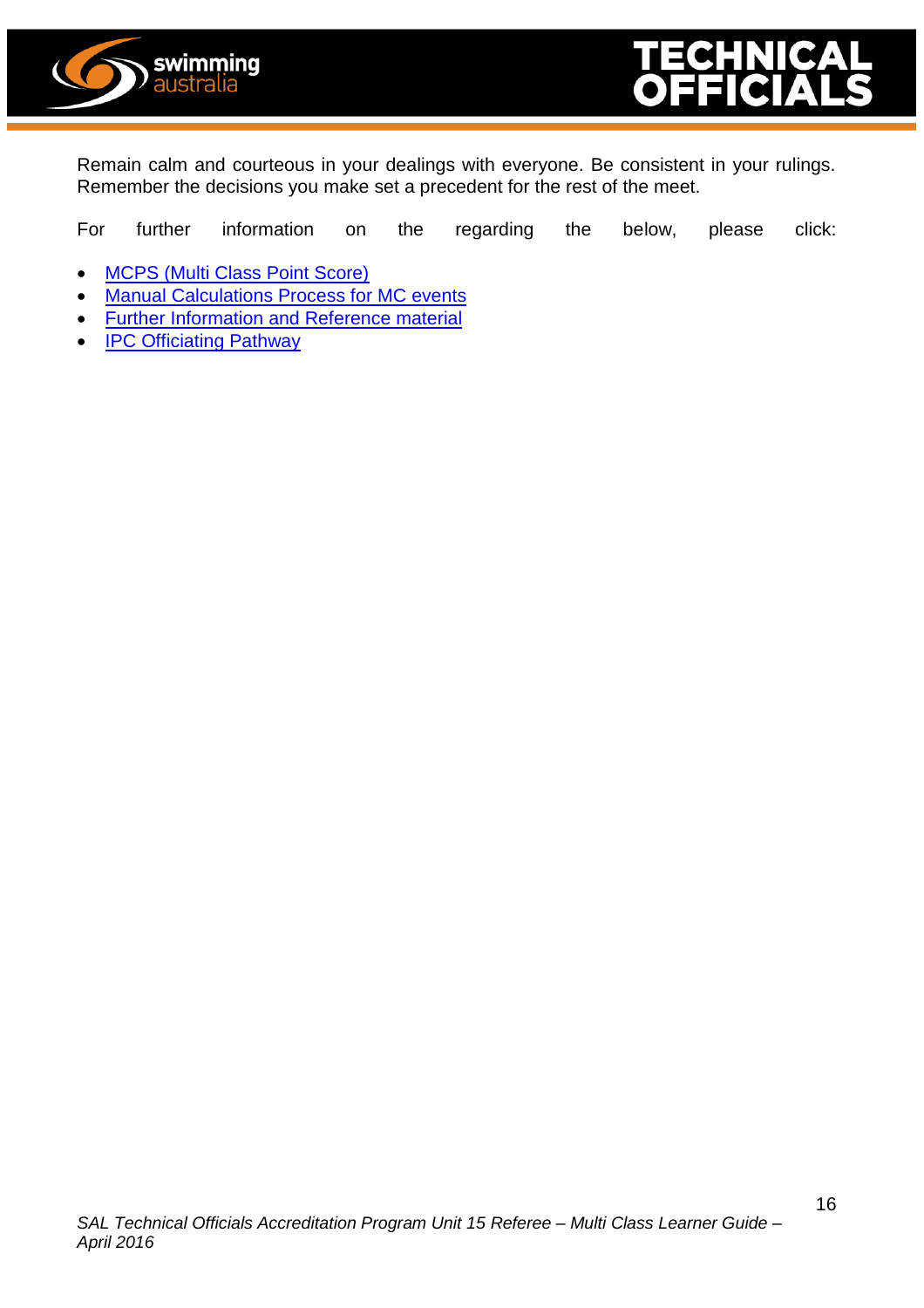



Remain calm and courteous in your dealings with everyone. Be consistent in your rulings. Remember the decisions you make set a precedent for the rest of the meet.

For further information on the regarding the below, please click:

- [MCPS \(Multi Class Point Score\)](http://www.swimming.org.au/Home/Swimmer-HQ/A-Sport-For-Everyone/Multi-class-swimming.aspx)
- **[Manual Calculations Process for MC events](http://www.swimming.org.au/Home/Swimmer-HQ/A-Sport-For-Everyone/Multi-class-swimming.aspx)**
- **•** [Further Information and Reference material](http://www.swimming.org.au/Home/Swimmer-HQ/A-Sport-For-Everyone/Multi-class-swimming.aspx)
- **[IPC Officiating Pathway](http://www.paralympic.org/swimming/officiating)**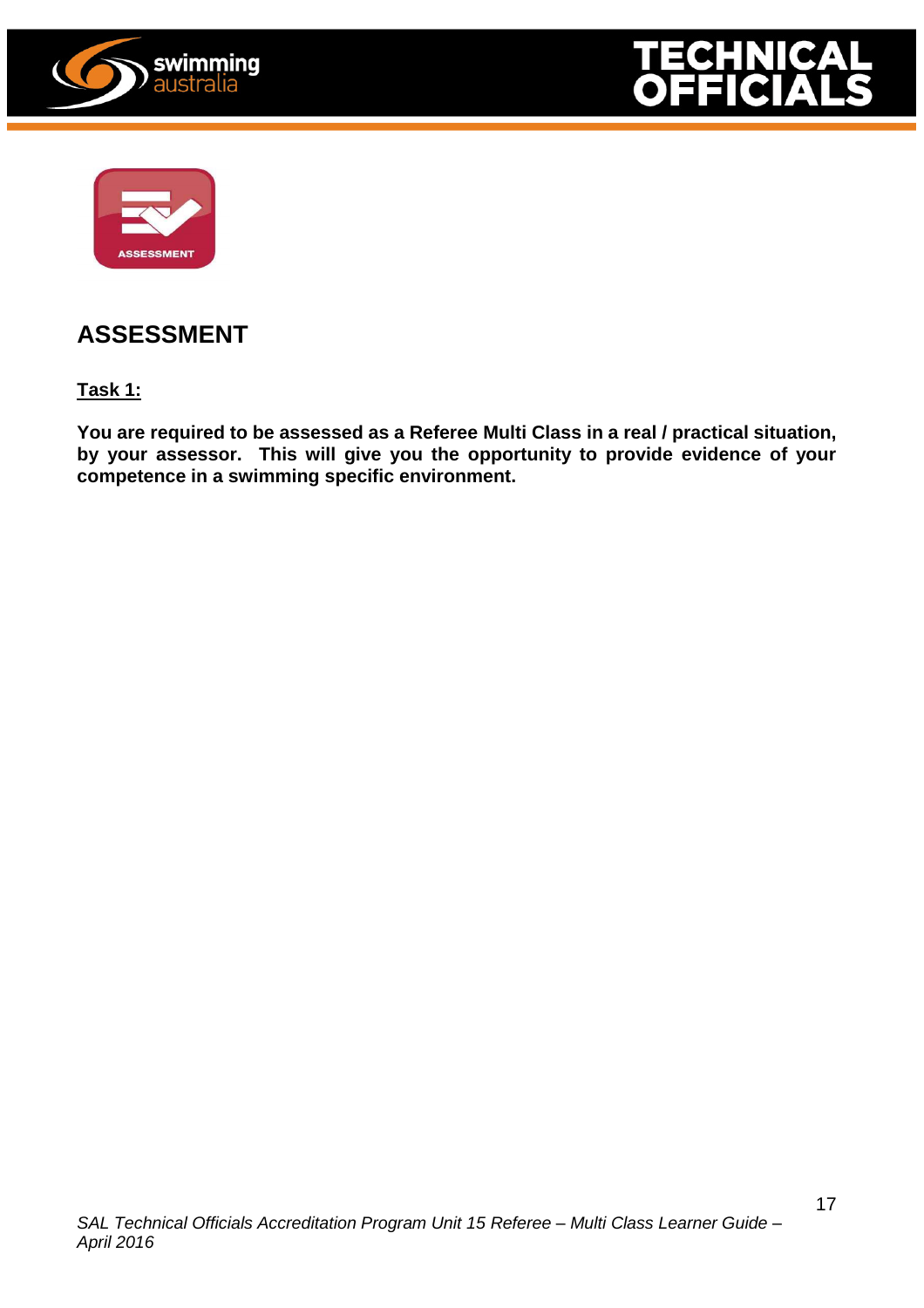





### **ASSESSMENT**

**Task 1:**

**You are required to be assessed as a Referee Multi Class in a real / practical situation, by your assessor. This will give you the opportunity to provide evidence of your competence in a swimming specific environment.**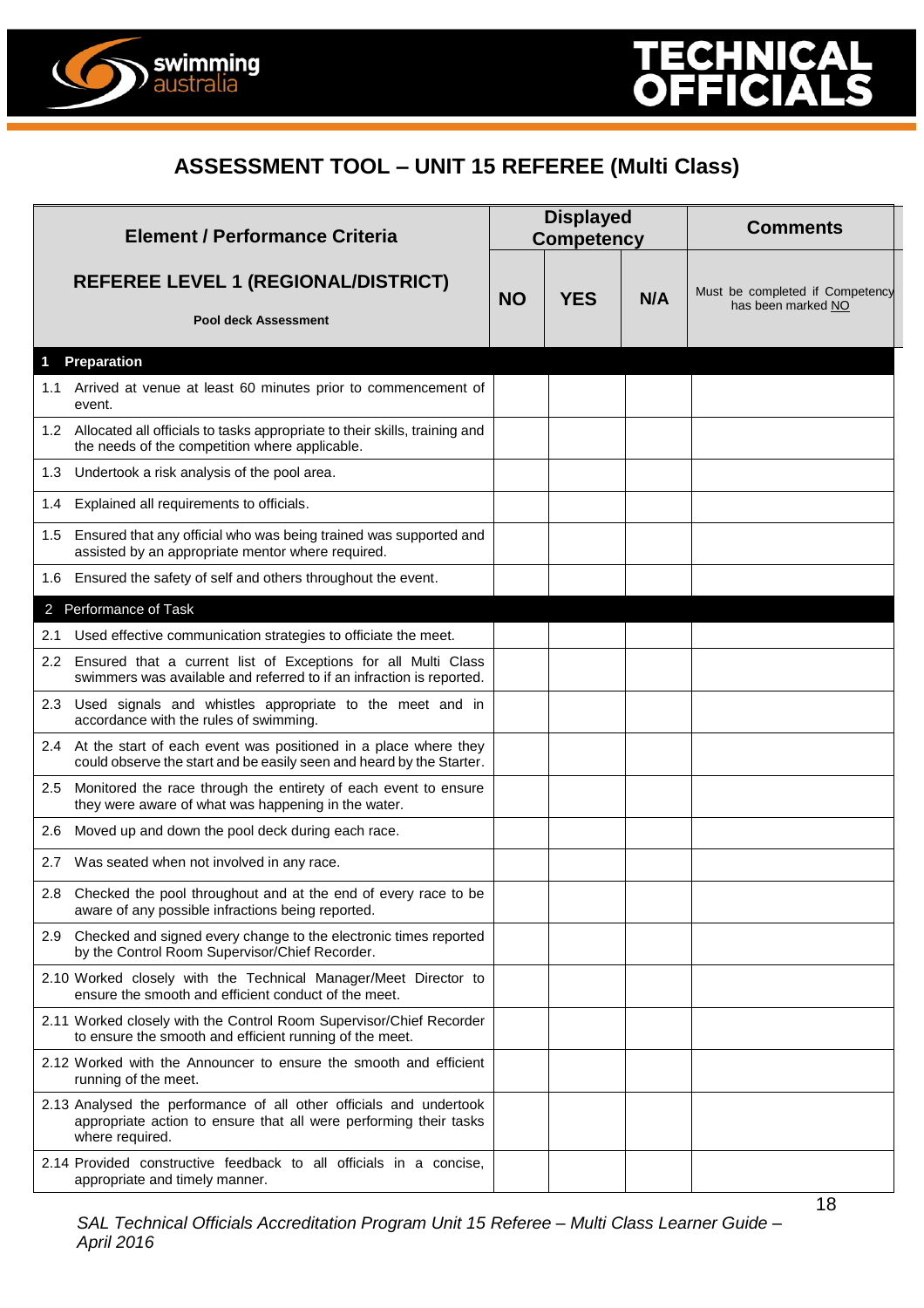

#### **ASSESSMENT TOOL – UNIT 15 REFEREE (Multi Class)**

| <b>Element / Performance Criteria</b> |                                                                                                                                                            | <b>Displayed</b><br><b>Competency</b> |            |     | <b>Comments</b>                                       |  |
|---------------------------------------|------------------------------------------------------------------------------------------------------------------------------------------------------------|---------------------------------------|------------|-----|-------------------------------------------------------|--|
|                                       | <b>REFEREE LEVEL 1 (REGIONAL/DISTRICT)</b><br><b>Pool deck Assessment</b>                                                                                  | <b>NO</b>                             | <b>YES</b> | N/A | Must be completed if Competency<br>has been marked NO |  |
| 1                                     | <b>Preparation</b>                                                                                                                                         |                                       |            |     |                                                       |  |
|                                       | 1.1 Arrived at venue at least 60 minutes prior to commencement of<br>event.                                                                                |                                       |            |     |                                                       |  |
|                                       | 1.2 Allocated all officials to tasks appropriate to their skills, training and<br>the needs of the competition where applicable.                           |                                       |            |     |                                                       |  |
|                                       | 1.3 Undertook a risk analysis of the pool area.                                                                                                            |                                       |            |     |                                                       |  |
| 1.4                                   | Explained all requirements to officials.                                                                                                                   |                                       |            |     |                                                       |  |
|                                       | 1.5 Ensured that any official who was being trained was supported and<br>assisted by an appropriate mentor where required.                                 |                                       |            |     |                                                       |  |
|                                       | 1.6 Ensured the safety of self and others throughout the event.                                                                                            |                                       |            |     |                                                       |  |
|                                       | 2 Performance of Task                                                                                                                                      |                                       |            |     |                                                       |  |
| 2.1                                   | Used effective communication strategies to officiate the meet.                                                                                             |                                       |            |     |                                                       |  |
|                                       | 2.2 Ensured that a current list of Exceptions for all Multi Class<br>swimmers was available and referred to if an infraction is reported.                  |                                       |            |     |                                                       |  |
|                                       | 2.3 Used signals and whistles appropriate to the meet and in<br>accordance with the rules of swimming.                                                     |                                       |            |     |                                                       |  |
|                                       | 2.4 At the start of each event was positioned in a place where they<br>could observe the start and be easily seen and heard by the Starter.                |                                       |            |     |                                                       |  |
|                                       | 2.5 Monitored the race through the entirety of each event to ensure<br>they were aware of what was happening in the water.                                 |                                       |            |     |                                                       |  |
| 2.6                                   | Moved up and down the pool deck during each race.                                                                                                          |                                       |            |     |                                                       |  |
|                                       | 2.7 Was seated when not involved in any race.                                                                                                              |                                       |            |     |                                                       |  |
|                                       | 2.8 Checked the pool throughout and at the end of every race to be<br>aware of any possible infractions being reported.                                    |                                       |            |     |                                                       |  |
|                                       | 2.9 Checked and signed every change to the electronic times reported<br>by the Control Room Supervisor/Chief Recorder.                                     |                                       |            |     |                                                       |  |
|                                       | 2.10 Worked closely with the Technical Manager/Meet Director to<br>ensure the smooth and efficient conduct of the meet.                                    |                                       |            |     |                                                       |  |
|                                       | 2.11 Worked closely with the Control Room Supervisor/Chief Recorder<br>to ensure the smooth and efficient running of the meet.                             |                                       |            |     |                                                       |  |
|                                       | 2.12 Worked with the Announcer to ensure the smooth and efficient<br>running of the meet.                                                                  |                                       |            |     |                                                       |  |
|                                       | 2.13 Analysed the performance of all other officials and undertook<br>appropriate action to ensure that all were performing their tasks<br>where required. |                                       |            |     |                                                       |  |
|                                       | 2.14 Provided constructive feedback to all officials in a concise.<br>appropriate and timely manner.                                                       |                                       |            |     |                                                       |  |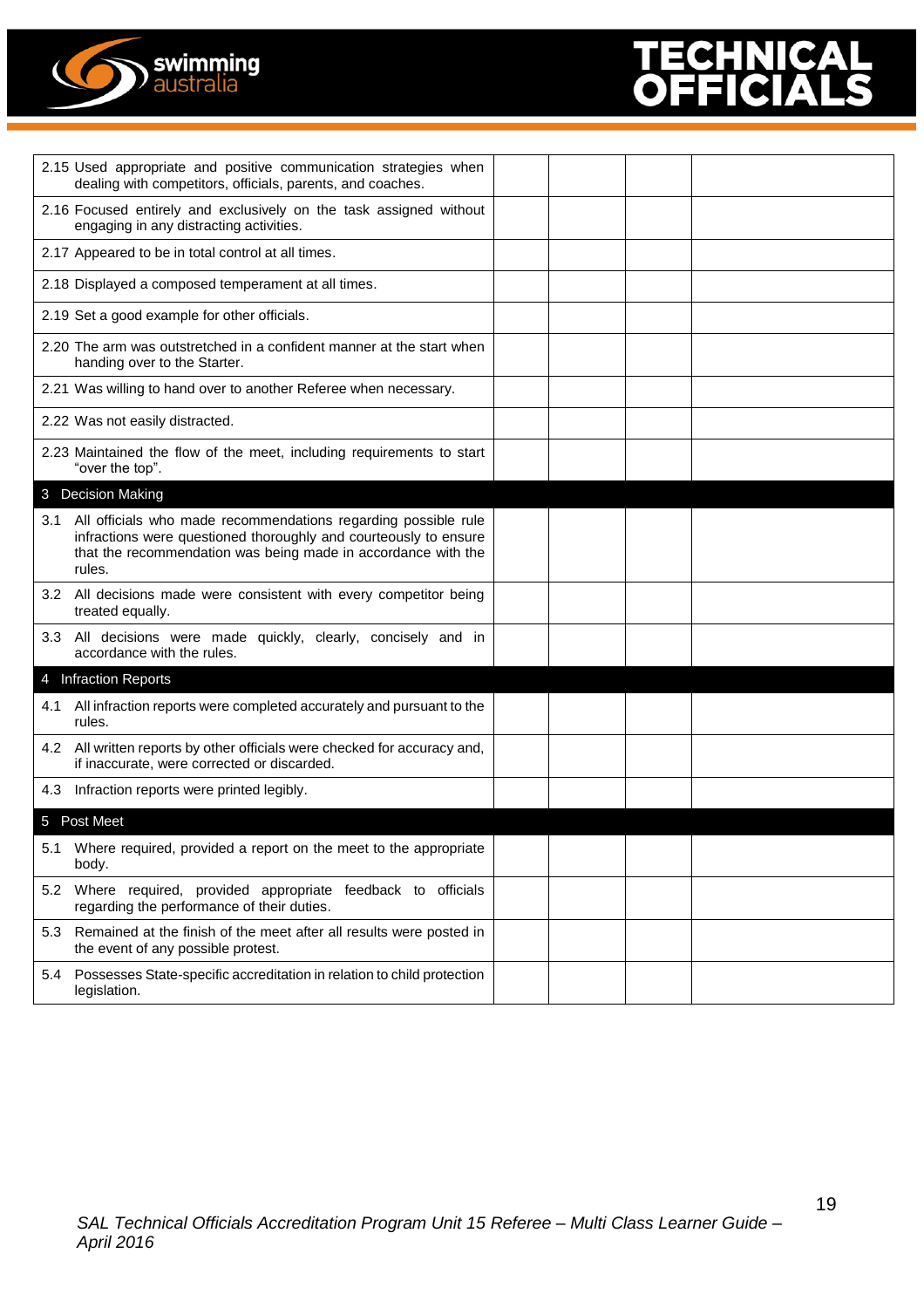

## $\blacktriangle$

|     | 2.15 Used appropriate and positive communication strategies when<br>dealing with competitors, officials, parents, and coaches.                                                                                |  |  |
|-----|---------------------------------------------------------------------------------------------------------------------------------------------------------------------------------------------------------------|--|--|
|     | 2.16 Focused entirely and exclusively on the task assigned without<br>engaging in any distracting activities.                                                                                                 |  |  |
|     | 2.17 Appeared to be in total control at all times.                                                                                                                                                            |  |  |
|     | 2.18 Displayed a composed temperament at all times.                                                                                                                                                           |  |  |
|     | 2.19 Set a good example for other officials.                                                                                                                                                                  |  |  |
|     | 2.20 The arm was outstretched in a confident manner at the start when<br>handing over to the Starter.                                                                                                         |  |  |
|     | 2.21 Was willing to hand over to another Referee when necessary.                                                                                                                                              |  |  |
|     | 2.22 Was not easily distracted.                                                                                                                                                                               |  |  |
|     | 2.23 Maintained the flow of the meet, including requirements to start<br>"over the top".                                                                                                                      |  |  |
|     | 3 Decision Making                                                                                                                                                                                             |  |  |
| 3.1 | All officials who made recommendations regarding possible rule<br>infractions were questioned thoroughly and courteously to ensure<br>that the recommendation was being made in accordance with the<br>rules. |  |  |
|     | 3.2 All decisions made were consistent with every competitor being<br>treated equally.                                                                                                                        |  |  |
|     | 3.3 All decisions were made quickly, clearly, concisely and in<br>accordance with the rules.                                                                                                                  |  |  |
|     | 4 Infraction Reports                                                                                                                                                                                          |  |  |
| 4.1 | All infraction reports were completed accurately and pursuant to the<br>rules.                                                                                                                                |  |  |
|     | 4.2 All written reports by other officials were checked for accuracy and,<br>if inaccurate, were corrected or discarded.                                                                                      |  |  |
| 4.3 | Infraction reports were printed legibly.                                                                                                                                                                      |  |  |
|     | 5 Post Meet                                                                                                                                                                                                   |  |  |
|     | 5.1 Where required, provided a report on the meet to the appropriate<br>body.                                                                                                                                 |  |  |
|     | 5.2 Where required, provided appropriate feedback to officials<br>regarding the performance of their duties.                                                                                                  |  |  |
|     | 5.3 Remained at the finish of the meet after all results were posted in<br>the event of any possible protest.                                                                                                 |  |  |
| 5.4 | Possesses State-specific accreditation in relation to child protection<br>legislation.                                                                                                                        |  |  |